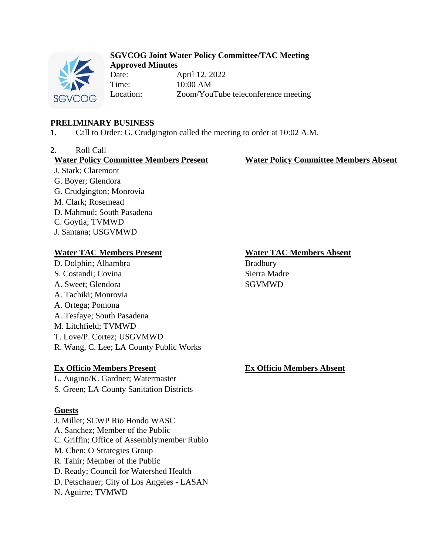

#### **SGVCOG Joint Water Policy Committee/TAC Meeting Approved Minutes**

Date: April 12, 2022 Time: 10:00 AM Location: Zoom/YouTube teleconference meeting

### **PRELIMINARY BUSINESS**

**1.** Call to Order: G. Crudgington called the meeting to order at 10:02 A.M.

### **2.** Roll Call

#### **Water Policy Committee Members Present Water Policy Committee Members Absent**

J. Stark; Claremont G. Boyer; Glendora G. Crudgington; Monrovia M. Clark; Rosemead D. Mahmud; South Pasadena C. Goytia; TVMWD J. Santana; USGVMWD

## **Water TAC Members Present Water TAC Members Absent**

- D. Dolphin; Alhambra Bradbury
- S. Costandi; Covina Sierra Madre
- A. Sweet: Glendora SGVMWD
- A. Tachiki; Monrovia
- A. Ortega; Pomona
- A. Tesfaye; South Pasadena
- M. Litchfield; TVMWD
- T. Love/P. Cortez; USGVMWD
- R. Wang, C. Lee; LA County Public Works

# **Ex Officio Members Present Ex Officio Members Absent**

- L. Augino/K. Gardner; Watermaster
- S. Green; LA County Sanitation Districts

## **Guests**

J. Millet; SCWP Rio Hondo WASC A. Sanchez; Member of the Public C. Griffin; Office of Assemblymember Rubio M. Chen; O Strategies Group R. Tahir; Member of the Public D. Ready; Council for Watershed Health D. Petschauer; City of Los Angeles - LASAN N. Aguirre; TVMWD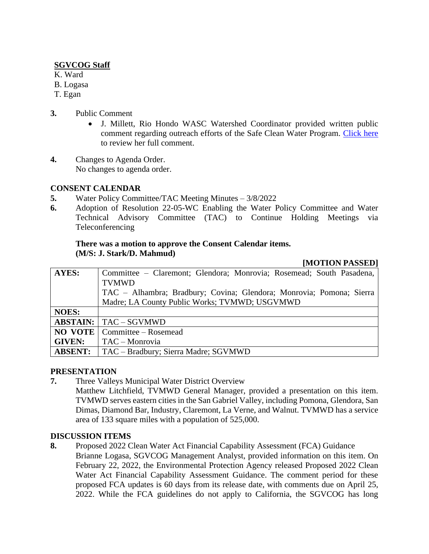### **SGVCOG Staff**

- K. Ward
- B. Logasa
- T. Egan
- **3.** Public Comment
	- J. Millett, Rio Hondo WASC Watershed Coordinator provided written public comment regarding outreach efforts of the Safe Clean Water Program. [Click here](https://drive.google.com/file/d/1bC-zlR9auJHQiqOaL864dK--8N8KUtAH/view?usp=sharing) to review her full comment.
- **4.** Changes to Agenda Order. No changes to agenda order.

### **CONSENT CALENDAR**

- **5.** Water Policy Committee/TAC Meeting Minutes 3/8/2022
- **6.** Adoption of Resolution 22-05-WC Enabling the Water Policy Committee and Water Technical Advisory Committee (TAC) to Continue Holding Meetings via Teleconferencing

#### **There was a motion to approve the Consent Calendar items. (M/S: J. Stark/D. Mahmud)**

#### **[MOTION PASSED]**

| <b>AYES:</b>   | Committee - Claremont; Glendora; Monrovia; Rosemead; South Pasadena, |
|----------------|----------------------------------------------------------------------|
|                | <b>TVMWD</b>                                                         |
|                | TAC - Alhambra; Bradbury; Covina; Glendora; Monrovia; Pomona; Sierra |
|                | Madre; LA County Public Works; TVMWD; USGVMWD                        |
| <b>NOES:</b>   |                                                                      |
|                | <b>ABSTAIN:</b>   TAC – SGVMWD                                       |
| <b>NO VOTE</b> | Committee – Rosemead                                                 |
| <b>GIVEN:</b>  | TAC – Monrovia                                                       |
| <b>ABSENT:</b> | TAC – Bradbury; Sierra Madre; SGVMWD                                 |

#### **PRESENTATION**

- **7.** Three Valleys Municipal Water District Overview
	- Matthew Litchfield, TVMWD General Manager, provided a presentation on this item. TVMWD serves eastern cities in the San Gabriel Valley, including Pomona, Glendora, San Dimas, Diamond Bar, Industry, Claremont, La Verne, and Walnut. TVMWD has a service area of 133 square miles with a population of 525,000.

#### **DISCUSSION ITEMS**

**8.** Proposed 2022 Clean Water Act Financial Capability Assessment (FCA) Guidance Brianne Logasa, SGVCOG Management Analyst, provided information on this item. On February 22, 2022, the Environmental Protection Agency released Proposed 2022 Clean Water Act Financial Capability Assessment Guidance. The comment period for these proposed FCA updates is 60 days from its release date, with comments due on April 25, 2022. While the FCA guidelines do not apply to California, the SGVCOG has long